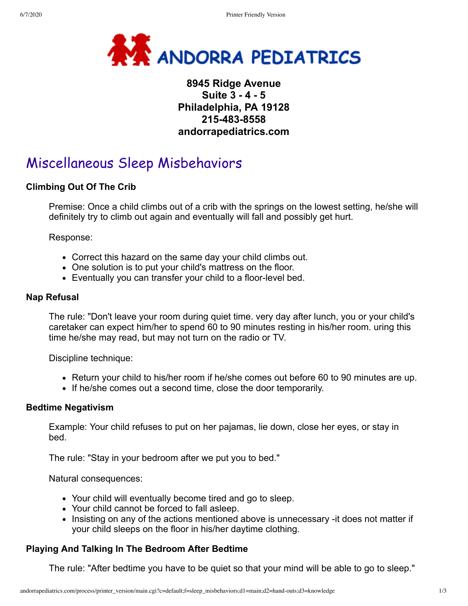

# **8945 Ridge Avenue Suite 3 - 4 - 5 Philadelphia, PA 19128 215-483-8558 andorrapediatrics.com**

# Miscellaneous Sleep Misbehaviors

### **Climbing Out Of The Crib**

Premise: Once a child climbs out of a crib with the springs on the lowest setting, he/she will definitely try to climb out again and eventually will fall and possibly get hurt.

Response:

- Correct this hazard on the same day your child climbs out.
- One solution is to put your child's mattress on the floor.
- Eventually you can transfer your child to a floor-level bed.

#### **Nap Refusal**

The rule: "Don't leave your room during quiet time. very day after lunch, you or your child's caretaker can expect him/her to spend 60 to 90 minutes resting in his/her room. uring this time he/she may read, but may not turn on the radio or TV.

Discipline technique:

- Return your child to his/her room if he/she comes out before 60 to 90 minutes are up.
- If he/she comes out a second time, close the door temporarily.

#### **Bedtime Negativism**

Example: Your child refuses to put on her pajamas, lie down, close her eyes, or stay in bed.

The rule: "Stay in your bedroom after we put you to bed."

Natural consequences:

- Your child will eventually become tired and go to sleep.
- Your child cannot be forced to fall asleep.
- Insisting on any of the actions mentioned above is unnecessary -it does not matter if your child sleeps on the floor in his/her daytime clothing.

## **Playing And Talking In The Bedroom After Bedtime**

The rule: "After bedtime you have to be quiet so that your mind will be able to go to sleep."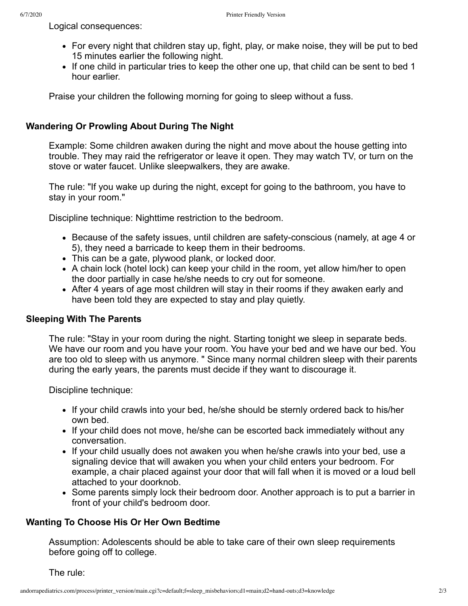Logical consequences:

- For every night that children stay up, fight, play, or make noise, they will be put to bed 15 minutes earlier the following night.
- If one child in particular tries to keep the other one up, that child can be sent to bed 1 hour earlier.

Praise your children the following morning for going to sleep without a fuss.

#### **Wandering Or Prowling About During The Night**

Example: Some children awaken during the night and move about the house getting into trouble. They may raid the refrigerator or leave it open. They may watch TV, or turn on the stove or water faucet. Unlike sleepwalkers, they are awake.

The rule: "If you wake up during the night, except for going to the bathroom, you have to stay in your room."

Discipline technique: Nighttime restriction to the bedroom.

- Because of the safety issues, until children are safety-conscious (namely, at age 4 or 5), they need a barricade to keep them in their bedrooms.
- This can be a gate, plywood plank, or locked door.
- A chain lock (hotel lock) can keep your child in the room, yet allow him/her to open the door partially in case he/she needs to cry out for someone.
- After 4 years of age most children will stay in their rooms if they awaken early and have been told they are expected to stay and play quietly.

#### **Sleeping With The Parents**

The rule: "Stay in your room during the night. Starting tonight we sleep in separate beds. We have our room and you have your room. You have your bed and we have our bed. You are too old to sleep with us anymore. " Since many normal children sleep with their parents during the early years, the parents must decide if they want to discourage it.

Discipline technique:

- If your child crawls into your bed, he/she should be sternly ordered back to his/her own bed.
- If your child does not move, he/she can be escorted back immediately without any conversation.
- If your child usually does not awaken you when he/she crawls into your bed, use a signaling device that will awaken you when your child enters your bedroom. For example, a chair placed against your door that will fall when it is moved or a loud bell attached to your doorknob.
- Some parents simply lock their bedroom door. Another approach is to put a barrier in front of your child's bedroom door.

#### **Wanting To Choose His Or Her Own Bedtime**

Assumption: Adolescents should be able to take care of their own sleep requirements before going off to college.

The rule: